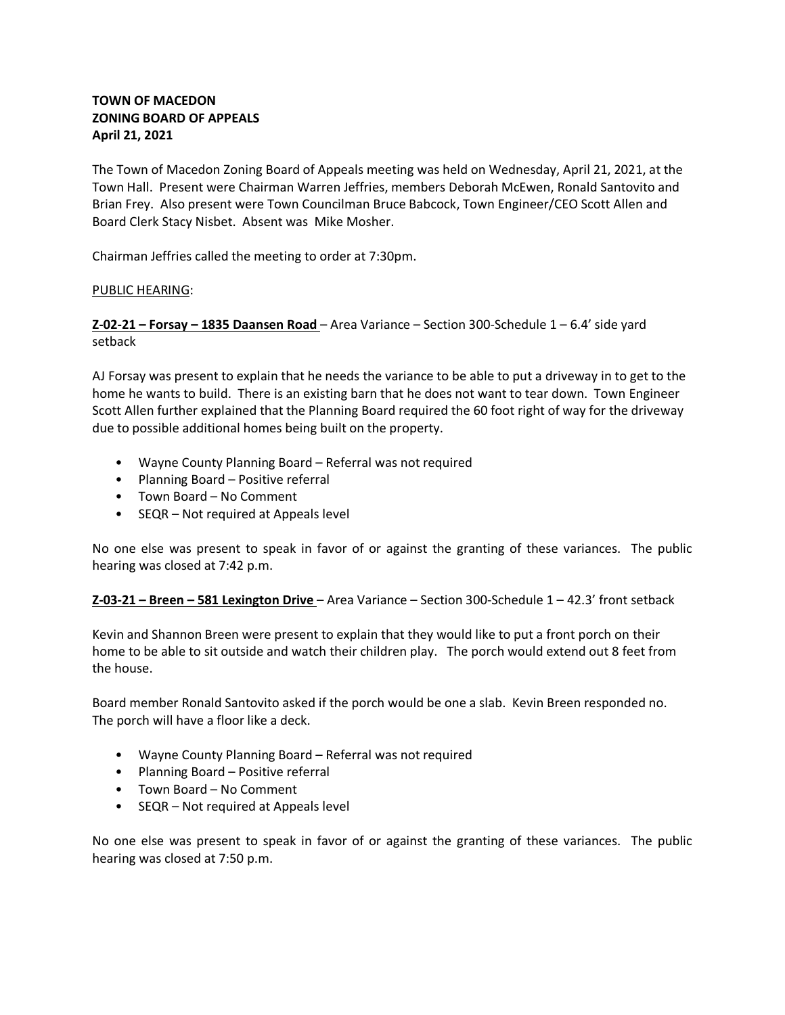# **TOWN OF MACEDON ZONING BOARD OF APPEALS April 21, 2021**

The Town of Macedon Zoning Board of Appeals meeting was held on Wednesday, April 21, 2021, at the Town Hall. Present were Chairman Warren Jeffries, members Deborah McEwen, Ronald Santovito and Brian Frey. Also present were Town Councilman Bruce Babcock, Town Engineer/CEO Scott Allen and Board Clerk Stacy Nisbet. Absent was Mike Mosher.

Chairman Jeffries called the meeting to order at 7:30pm.

## PUBLIC HEARING:

**Z-02-21 – Forsay – 1835 Daansen Road** – Area Variance – Section 300-Schedule 1 – 6.4' side yard setback

AJ Forsay was present to explain that he needs the variance to be able to put a driveway in to get to the home he wants to build. There is an existing barn that he does not want to tear down. Town Engineer Scott Allen further explained that the Planning Board required the 60 foot right of way for the driveway due to possible additional homes being built on the property.

- Wayne County Planning Board Referral was not required
- Planning Board Positive referral
- Town Board No Comment
- SEQR Not required at Appeals level

No one else was present to speak in favor of or against the granting of these variances. The public hearing was closed at 7:42 p.m.

**Z-03-21 – Breen – 581 Lexington Drive** – Area Variance – Section 300-Schedule 1 – 42.3' front setback

Kevin and Shannon Breen were present to explain that they would like to put a front porch on their home to be able to sit outside and watch their children play. The porch would extend out 8 feet from the house.

Board member Ronald Santovito asked if the porch would be one a slab. Kevin Breen responded no. The porch will have a floor like a deck.

- Wayne County Planning Board Referral was not required
- Planning Board Positive referral
- Town Board No Comment
- SEQR Not required at Appeals level

No one else was present to speak in favor of or against the granting of these variances. The public hearing was closed at 7:50 p.m.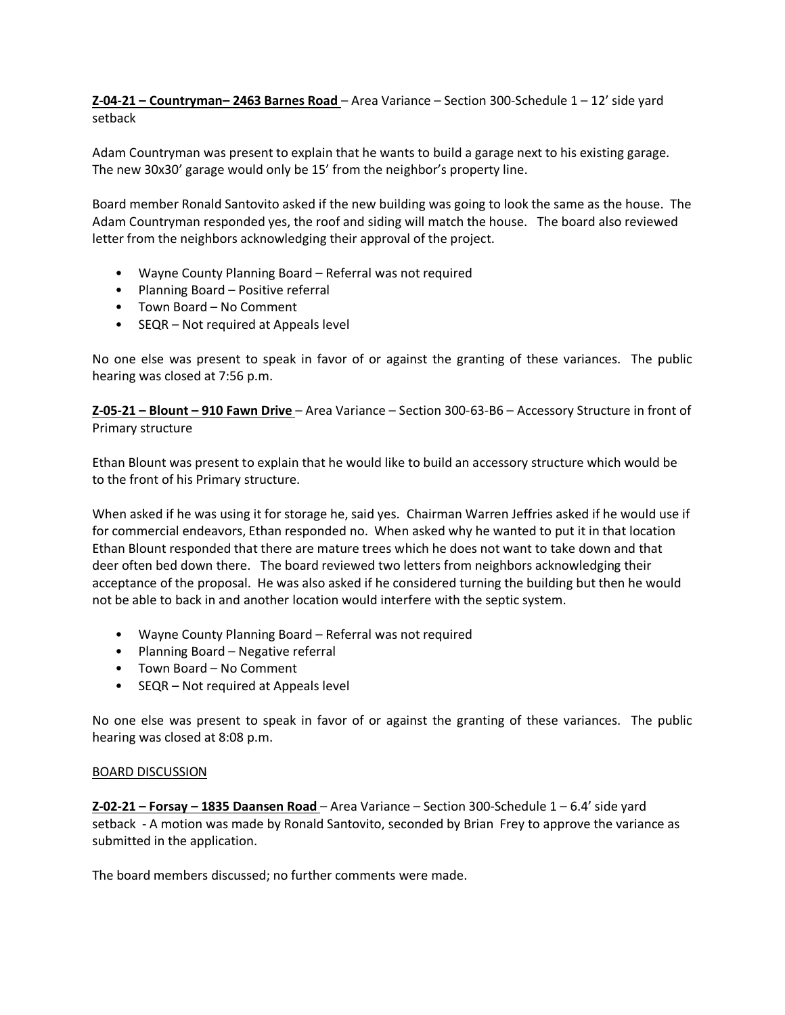**Z-04-21 – Countryman– 2463 Barnes Road** – Area Variance – Section 300-Schedule 1 – 12' side yard setback

Adam Countryman was present to explain that he wants to build a garage next to his existing garage. The new 30x30' garage would only be 15' from the neighbor's property line.

Board member Ronald Santovito asked if the new building was going to look the same as the house. The Adam Countryman responded yes, the roof and siding will match the house. The board also reviewed letter from the neighbors acknowledging their approval of the project.

- Wayne County Planning Board Referral was not required
- Planning Board Positive referral
- Town Board No Comment
- SEQR Not required at Appeals level

No one else was present to speak in favor of or against the granting of these variances. The public hearing was closed at 7:56 p.m.

**Z-05-21 – Blount – 910 Fawn Drive** – Area Variance – Section 300-63-B6 – Accessory Structure in front of Primary structure

Ethan Blount was present to explain that he would like to build an accessory structure which would be to the front of his Primary structure.

When asked if he was using it for storage he, said yes. Chairman Warren Jeffries asked if he would use if for commercial endeavors, Ethan responded no. When asked why he wanted to put it in that location Ethan Blount responded that there are mature trees which he does not want to take down and that deer often bed down there. The board reviewed two letters from neighbors acknowledging their acceptance of the proposal. He was also asked if he considered turning the building but then he would not be able to back in and another location would interfere with the septic system.

- Wayne County Planning Board Referral was not required
- Planning Board Negative referral
- Town Board No Comment
- SEQR Not required at Appeals level

No one else was present to speak in favor of or against the granting of these variances. The public hearing was closed at 8:08 p.m.

## BOARD DISCUSSION

**Z-02-21 – Forsay – 1835 Daansen Road** – Area Variance – Section 300-Schedule 1 – 6.4' side yard setback - A motion was made by Ronald Santovito, seconded by Brian Frey to approve the variance as submitted in the application.

The board members discussed; no further comments were made.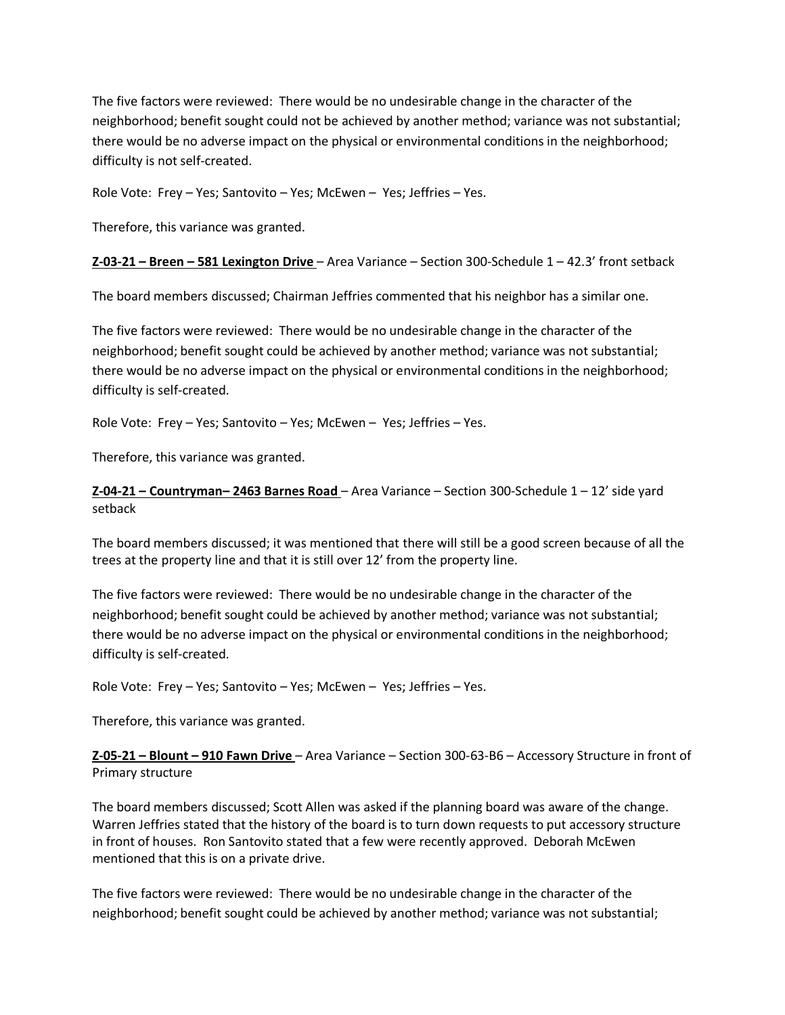The five factors were reviewed: There would be no undesirable change in the character of the neighborhood; benefit sought could not be achieved by another method; variance was not substantial; there would be no adverse impact on the physical or environmental conditions in the neighborhood; difficulty is not self-created.

Role Vote: Frey – Yes; Santovito – Yes; McEwen – Yes; Jeffries – Yes.

Therefore, this variance was granted.

**Z-03-21 – Breen – 581 Lexington Drive** – Area Variance – Section 300-Schedule 1 – 42.3' front setback

The board members discussed; Chairman Jeffries commented that his neighbor has a similar one.

The five factors were reviewed: There would be no undesirable change in the character of the neighborhood; benefit sought could be achieved by another method; variance was not substantial; there would be no adverse impact on the physical or environmental conditions in the neighborhood; difficulty is self-created.

Role Vote: Frey – Yes; Santovito – Yes; McEwen – Yes; Jeffries – Yes.

Therefore, this variance was granted.

**Z-04-21 – Countryman– 2463 Barnes Road** – Area Variance – Section 300-Schedule 1 – 12' side yard setback

The board members discussed; it was mentioned that there will still be a good screen because of all the trees at the property line and that it is still over 12' from the property line.

The five factors were reviewed: There would be no undesirable change in the character of the neighborhood; benefit sought could be achieved by another method; variance was not substantial; there would be no adverse impact on the physical or environmental conditions in the neighborhood; difficulty is self-created.

Role Vote: Frey – Yes; Santovito – Yes; McEwen – Yes; Jeffries – Yes.

Therefore, this variance was granted.

**Z-05-21 – Blount – 910 Fawn Drive** – Area Variance – Section 300-63-B6 – Accessory Structure in front of Primary structure

The board members discussed; Scott Allen was asked if the planning board was aware of the change. Warren Jeffries stated that the history of the board is to turn down requests to put accessory structure in front of houses. Ron Santovito stated that a few were recently approved. Deborah McEwen mentioned that this is on a private drive.

The five factors were reviewed: There would be no undesirable change in the character of the neighborhood; benefit sought could be achieved by another method; variance was not substantial;